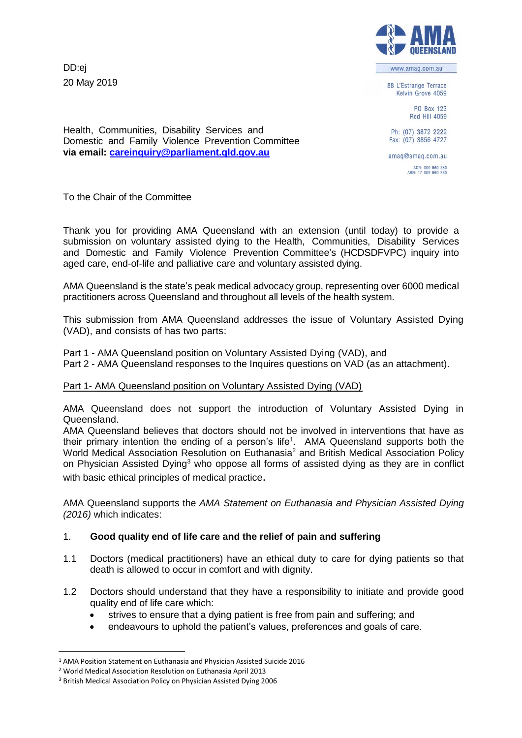DD:ej 20 May 2019



www.amaq.com.au 88 L'Estrange Terrace

Kelvin Grove 4059 PO Box 123 Red Hill 4059

Ph: (07) 3872 2222 Fax: (07) 3856 4727

amaq@amaq.com.au ACN: 009 660 280<br>ABN: 17 009 660 280

Health, Communities, Disability Services and Domestic and Family Violence Prevention Committee **via email: [careinquiry@parliament.qld.gov.au](mailto:careinquiry@parliament.qld.gov.au)**

To the Chair of the Committee

Thank you for providing AMA Queensland with an extension (until today) to provide a submission on voluntary assisted dying to the Health, Communities, Disability Services and Domestic and Family Violence Prevention Committee's (HCDSDFVPC) inquiry into aged care, end-of-life and palliative care and voluntary assisted dying.

AMA Queensland is the state's peak medical advocacy group, representing over 6000 medical practitioners across Queensland and throughout all levels of the health system.

This submission from AMA Queensland addresses the issue of Voluntary Assisted Dying (VAD), and consists of has two parts:

Part 1 - AMA Queensland position on Voluntary Assisted Dying (VAD), and

Part 2 - AMA Queensland responses to the Inquires questions on VAD (as an attachment).

# Part 1- AMA Queensland position on Voluntary Assisted Dying (VAD)

AMA Queensland does not support the introduction of Voluntary Assisted Dying in Queensland.

AMA Queensland believes that doctors should not be involved in interventions that have as their primary intention the ending of a person's life<sup>1</sup>. AMA Queensland supports both the World Medical Association Resolution on Euthanasia<sup>2</sup> and British Medical Association Policy on Physician Assisted Dying<sup>3</sup> who oppose all forms of assisted dying as they are in conflict with basic ethical principles of medical practice.

AMA Queensland supports the *AMA Statement on Euthanasia and Physician Assisted Dying (2016)* which indicates:

# 1. **Good quality end of life care and the relief of pain and suffering**

- 1.1 Doctors (medical practitioners) have an ethical duty to care for dying patients so that death is allowed to occur in comfort and with dignity.
- 1.2 Doctors should understand that they have a responsibility to initiate and provide good quality end of life care which:
	- strives to ensure that a dying patient is free from pain and suffering; and
	- endeavours to uphold the patient's values, preferences and goals of care.

 $\overline{a}$ 

<sup>1</sup> AMA Position Statement on Euthanasia and Physician Assisted Suicide 2016

<sup>2</sup> World Medical Association Resolution on Euthanasia April 2013

<sup>3</sup> British Medical Association Policy on Physician Assisted Dying 2006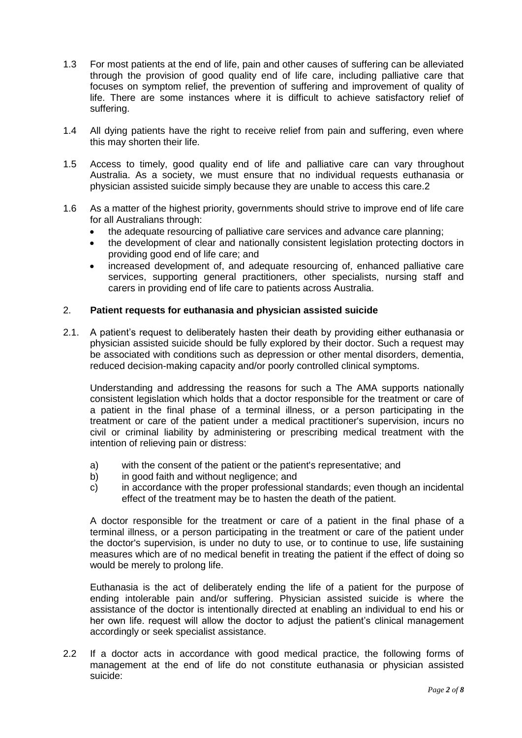- 1.3 For most patients at the end of life, pain and other causes of suffering can be alleviated through the provision of good quality end of life care, including palliative care that focuses on symptom relief, the prevention of suffering and improvement of quality of life. There are some instances where it is difficult to achieve satisfactory relief of suffering.
- 1.4 All dying patients have the right to receive relief from pain and suffering, even where this may shorten their life.
- 1.5 Access to timely, good quality end of life and palliative care can vary throughout Australia. As a society, we must ensure that no individual requests euthanasia or physician assisted suicide simply because they are unable to access this care.2
- 1.6 As a matter of the highest priority, governments should strive to improve end of life care for all Australians through:
	- the adequate resourcing of palliative care services and advance care planning;
	- the development of clear and nationally consistent legislation protecting doctors in providing good end of life care; and
	- increased development of, and adequate resourcing of, enhanced palliative care services, supporting general practitioners, other specialists, nursing staff and carers in providing end of life care to patients across Australia.

## 2. **Patient requests for euthanasia and physician assisted suicide**

2.1. A patient's request to deliberately hasten their death by providing either euthanasia or physician assisted suicide should be fully explored by their doctor. Such a request may be associated with conditions such as depression or other mental disorders, dementia, reduced decision-making capacity and/or poorly controlled clinical symptoms.

Understanding and addressing the reasons for such a The AMA supports nationally consistent legislation which holds that a doctor responsible for the treatment or care of a patient in the final phase of a terminal illness, or a person participating in the treatment or care of the patient under a medical practitioner's supervision, incurs no civil or criminal liability by administering or prescribing medical treatment with the intention of relieving pain or distress:

- a) with the consent of the patient or the patient's representative; and
- b) in good faith and without negligence; and
- c) in accordance with the proper professional standards; even though an incidental effect of the treatment may be to hasten the death of the patient.

A doctor responsible for the treatment or care of a patient in the final phase of a terminal illness, or a person participating in the treatment or care of the patient under the doctor's supervision, is under no duty to use, or to continue to use, life sustaining measures which are of no medical benefit in treating the patient if the effect of doing so would be merely to prolong life.

Euthanasia is the act of deliberately ending the life of a patient for the purpose of ending intolerable pain and/or suffering. Physician assisted suicide is where the assistance of the doctor is intentionally directed at enabling an individual to end his or her own life. request will allow the doctor to adjust the patient's clinical management accordingly or seek specialist assistance.

2.2 If a doctor acts in accordance with good medical practice, the following forms of management at the end of life do not constitute euthanasia or physician assisted suicide: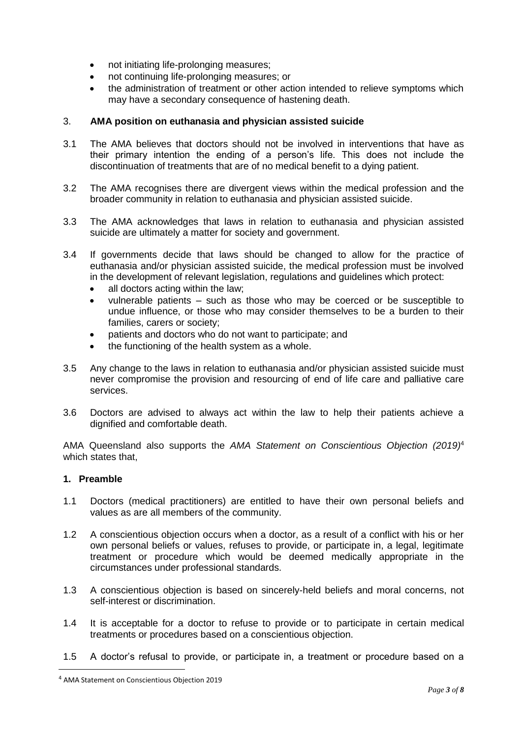- not initiating life-prolonging measures;
- not continuing life-prolonging measures; or
- the administration of treatment or other action intended to relieve symptoms which may have a secondary consequence of hastening death.

# 3. **AMA position on euthanasia and physician assisted suicide**

- 3.1 The AMA believes that doctors should not be involved in interventions that have as their primary intention the ending of a person's life. This does not include the discontinuation of treatments that are of no medical benefit to a dying patient.
- 3.2 The AMA recognises there are divergent views within the medical profession and the broader community in relation to euthanasia and physician assisted suicide.
- 3.3 The AMA acknowledges that laws in relation to euthanasia and physician assisted suicide are ultimately a matter for society and government.
- 3.4 If governments decide that laws should be changed to allow for the practice of euthanasia and/or physician assisted suicide, the medical profession must be involved in the development of relevant legislation, regulations and guidelines which protect:
	- all doctors acting within the law;
	- vulnerable patients such as those who may be coerced or be susceptible to undue influence, or those who may consider themselves to be a burden to their families, carers or society;
	- patients and doctors who do not want to participate; and
	- the functioning of the health system as a whole.
- 3.5 Any change to the laws in relation to euthanasia and/or physician assisted suicide must never compromise the provision and resourcing of end of life care and palliative care services.
- 3.6 Doctors are advised to always act within the law to help their patients achieve a dignified and comfortable death.

AMA Queensland also supports the *AMA Statement on Conscientious Objection (2019)*<sup>4</sup> which states that.

# **1. Preamble**

 $\overline{a}$ 

- 1.1 Doctors (medical practitioners) are entitled to have their own personal beliefs and values as are all members of the community.
- 1.2 A conscientious objection occurs when a doctor, as a result of a conflict with his or her own personal beliefs or values, refuses to provide, or participate in, a legal, legitimate treatment or procedure which would be deemed medically appropriate in the circumstances under professional standards.
- 1.3 A conscientious objection is based on sincerely-held beliefs and moral concerns, not self-interest or discrimination.
- 1.4 It is acceptable for a doctor to refuse to provide or to participate in certain medical treatments or procedures based on a conscientious objection.
- 1.5 A doctor's refusal to provide, or participate in, a treatment or procedure based on a

<sup>4</sup> AMA Statement on Conscientious Objection 2019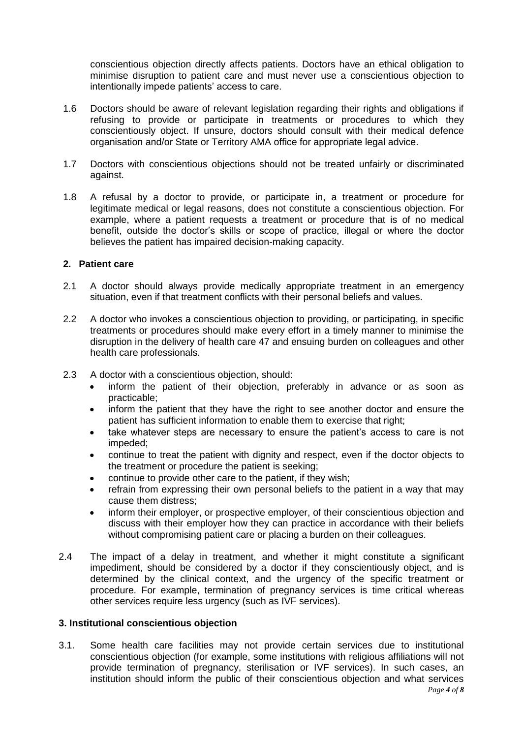conscientious objection directly affects patients. Doctors have an ethical obligation to minimise disruption to patient care and must never use a conscientious objection to intentionally impede patients' access to care.

- 1.6 Doctors should be aware of relevant legislation regarding their rights and obligations if refusing to provide or participate in treatments or procedures to which they conscientiously object. If unsure, doctors should consult with their medical defence organisation and/or State or Territory AMA office for appropriate legal advice.
- 1.7 Doctors with conscientious objections should not be treated unfairly or discriminated against.
- 1.8 A refusal by a doctor to provide, or participate in, a treatment or procedure for legitimate medical or legal reasons, does not constitute a conscientious objection. For example, where a patient requests a treatment or procedure that is of no medical benefit, outside the doctor's skills or scope of practice, illegal or where the doctor believes the patient has impaired decision-making capacity.

## **2. Patient care**

- 2.1 A doctor should always provide medically appropriate treatment in an emergency situation, even if that treatment conflicts with their personal beliefs and values.
- 2.2 A doctor who invokes a conscientious objection to providing, or participating, in specific treatments or procedures should make every effort in a timely manner to minimise the disruption in the delivery of health care 47 and ensuing burden on colleagues and other health care professionals.
- 2.3 A doctor with a conscientious objection, should:
	- inform the patient of their objection, preferably in advance or as soon as practicable;
	- inform the patient that they have the right to see another doctor and ensure the patient has sufficient information to enable them to exercise that right;
	- take whatever steps are necessary to ensure the patient's access to care is not impeded;
	- continue to treat the patient with dignity and respect, even if the doctor objects to the treatment or procedure the patient is seeking;
	- continue to provide other care to the patient, if they wish;
	- refrain from expressing their own personal beliefs to the patient in a way that may cause them distress;
	- inform their employer, or prospective employer, of their conscientious objection and discuss with their employer how they can practice in accordance with their beliefs without compromising patient care or placing a burden on their colleagues.
- 2.4 The impact of a delay in treatment, and whether it might constitute a significant impediment, should be considered by a doctor if they conscientiously object, and is determined by the clinical context, and the urgency of the specific treatment or procedure. For example, termination of pregnancy services is time critical whereas other services require less urgency (such as IVF services).

#### **3. Institutional conscientious objection**

3.1. Some health care facilities may not provide certain services due to institutional conscientious objection (for example, some institutions with religious affiliations will not provide termination of pregnancy, sterilisation or IVF services). In such cases, an institution should inform the public of their conscientious objection and what services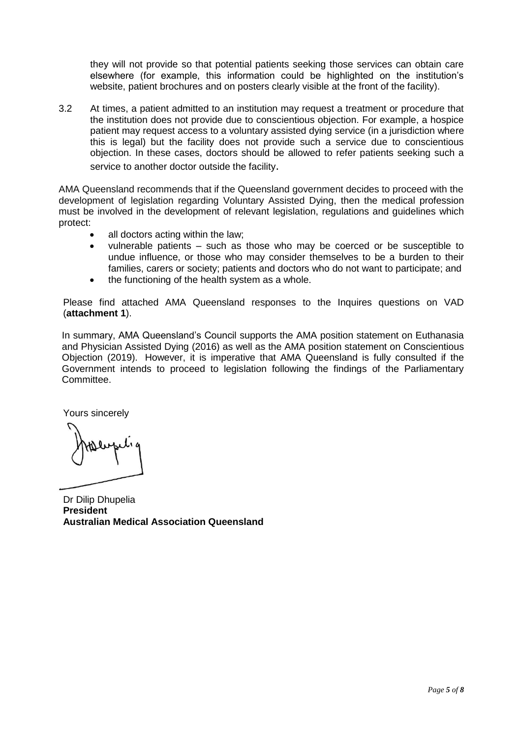they will not provide so that potential patients seeking those services can obtain care elsewhere (for example, this information could be highlighted on the institution's website, patient brochures and on posters clearly visible at the front of the facility).

3.2 At times, a patient admitted to an institution may request a treatment or procedure that the institution does not provide due to conscientious objection. For example, a hospice patient may request access to a voluntary assisted dying service (in a jurisdiction where this is legal) but the facility does not provide such a service due to conscientious objection. In these cases, doctors should be allowed to refer patients seeking such a service to another doctor outside the facility.

AMA Queensland recommends that if the Queensland government decides to proceed with the development of legislation regarding Voluntary Assisted Dying, then the medical profession must be involved in the development of relevant legislation, regulations and guidelines which protect:

- all doctors acting within the law;
- vulnerable patients such as those who may be coerced or be susceptible to undue influence, or those who may consider themselves to be a burden to their families, carers or society; patients and doctors who do not want to participate; and
- the functioning of the health system as a whole.

Please find attached AMA Queensland responses to the Inquires questions on VAD (**attachment 1**).

In summary, AMA Queensland's Council supports the AMA position statement on Euthanasia and Physician Assisted Dying (2016) as well as the AMA position statement on Conscientious Objection (2019). However, it is imperative that AMA Queensland is fully consulted if the Government intends to proceed to legislation following the findings of the Parliamentary Committee.

Yours sincerely

Dr Dilip Dhupelia **President Australian Medical Association Queensland**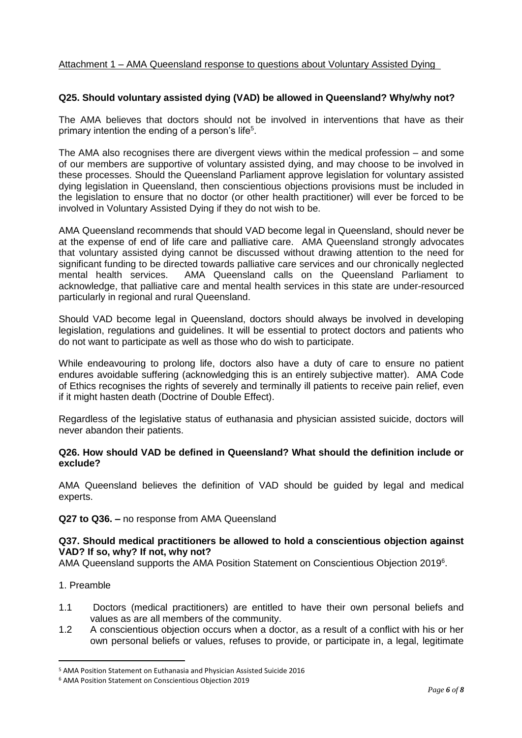# **Q25. Should voluntary assisted dying (VAD) be allowed in Queensland? Why/why not?**

The AMA believes that doctors should not be involved in interventions that have as their primary intention the ending of a person's life<sup>5</sup> .

The AMA also recognises there are divergent views within the medical profession – and some of our members are supportive of voluntary assisted dying, and may choose to be involved in these processes. Should the Queensland Parliament approve legislation for voluntary assisted dying legislation in Queensland, then conscientious objections provisions must be included in the legislation to ensure that no doctor (or other health practitioner) will ever be forced to be involved in Voluntary Assisted Dying if they do not wish to be.

AMA Queensland recommends that should VAD become legal in Queensland, should never be at the expense of end of life care and palliative care. AMA Queensland strongly advocates that voluntary assisted dying cannot be discussed without drawing attention to the need for significant funding to be directed towards palliative care services and our chronically neglected mental health services. AMA Queensland calls on the Queensland Parliament to acknowledge, that palliative care and mental health services in this state are under-resourced particularly in regional and rural Queensland.

Should VAD become legal in Queensland, doctors should always be involved in developing legislation, regulations and guidelines. It will be essential to protect doctors and patients who do not want to participate as well as those who do wish to participate.

While endeavouring to prolong life, doctors also have a duty of care to ensure no patient endures avoidable suffering (acknowledging this is an entirely subjective matter). AMA Code of Ethics recognises the rights of severely and terminally ill patients to receive pain relief, even if it might hasten death (Doctrine of Double Effect).

Regardless of the legislative status of euthanasia and physician assisted suicide, doctors will never abandon their patients.

## **Q26. How should VAD be defined in Queensland? What should the definition include or exclude?**

AMA Queensland believes the definition of VAD should be guided by legal and medical experts.

**Q27 to Q36. –** no response from AMA Queensland

# **Q37. Should medical practitioners be allowed to hold a conscientious objection against VAD? If so, why? If not, why not?**

AMA Queensland supports the AMA Position Statement on Conscientious Objection 2019<sup>6</sup>.

1. Preamble

 $\overline{a}$ 

- 1.1 Doctors (medical practitioners) are entitled to have their own personal beliefs and values as are all members of the community.
- 1.2 A conscientious objection occurs when a doctor, as a result of a conflict with his or her own personal beliefs or values, refuses to provide, or participate in, a legal, legitimate

<sup>5</sup> AMA Position Statement on Euthanasia and Physician Assisted Suicide 2016

<sup>6</sup> AMA Position Statement on Conscientious Objection 2019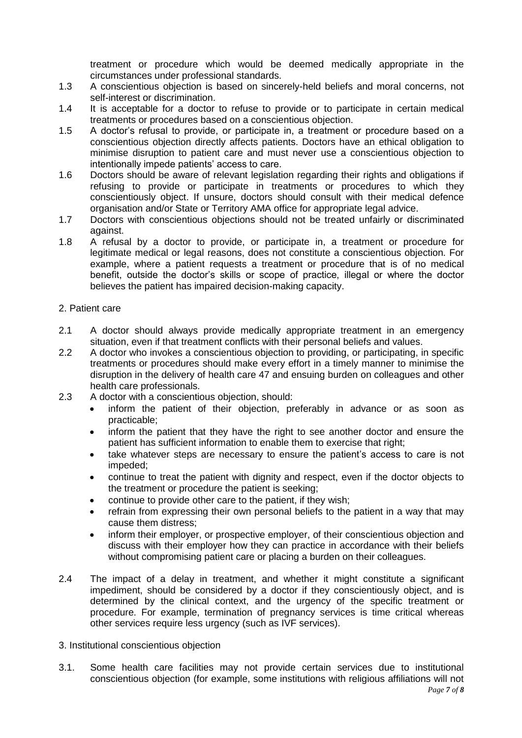treatment or procedure which would be deemed medically appropriate in the circumstances under professional standards.

- 1.3 A conscientious objection is based on sincerely-held beliefs and moral concerns, not self-interest or discrimination.
- 1.4 It is acceptable for a doctor to refuse to provide or to participate in certain medical treatments or procedures based on a conscientious objection.
- 1.5 A doctor's refusal to provide, or participate in, a treatment or procedure based on a conscientious objection directly affects patients. Doctors have an ethical obligation to minimise disruption to patient care and must never use a conscientious objection to intentionally impede patients' access to care.
- 1.6 Doctors should be aware of relevant legislation regarding their rights and obligations if refusing to provide or participate in treatments or procedures to which they conscientiously object. If unsure, doctors should consult with their medical defence organisation and/or State or Territory AMA office for appropriate legal advice.
- 1.7 Doctors with conscientious objections should not be treated unfairly or discriminated against.
- 1.8 A refusal by a doctor to provide, or participate in, a treatment or procedure for legitimate medical or legal reasons, does not constitute a conscientious objection. For example, where a patient requests a treatment or procedure that is of no medical benefit, outside the doctor's skills or scope of practice, illegal or where the doctor believes the patient has impaired decision-making capacity.

## 2. Patient care

- 2.1 A doctor should always provide medically appropriate treatment in an emergency situation, even if that treatment conflicts with their personal beliefs and values.
- 2.2 A doctor who invokes a conscientious objection to providing, or participating, in specific treatments or procedures should make every effort in a timely manner to minimise the disruption in the delivery of health care 47 and ensuing burden on colleagues and other health care professionals.
- 2.3 A doctor with a conscientious objection, should:
	- inform the patient of their objection, preferably in advance or as soon as practicable;
	- inform the patient that they have the right to see another doctor and ensure the patient has sufficient information to enable them to exercise that right;
	- take whatever steps are necessary to ensure the patient's access to care is not impeded;
	- continue to treat the patient with dignity and respect, even if the doctor objects to the treatment or procedure the patient is seeking;
	- continue to provide other care to the patient, if they wish;
	- refrain from expressing their own personal beliefs to the patient in a way that may cause them distress;
	- inform their employer, or prospective employer, of their conscientious objection and discuss with their employer how they can practice in accordance with their beliefs without compromising patient care or placing a burden on their colleagues.
- 2.4 The impact of a delay in treatment, and whether it might constitute a significant impediment, should be considered by a doctor if they conscientiously object, and is determined by the clinical context, and the urgency of the specific treatment or procedure. For example, termination of pregnancy services is time critical whereas other services require less urgency (such as IVF services).
- 3. Institutional conscientious objection
- 3.1. Some health care facilities may not provide certain services due to institutional conscientious objection (for example, some institutions with religious affiliations will not